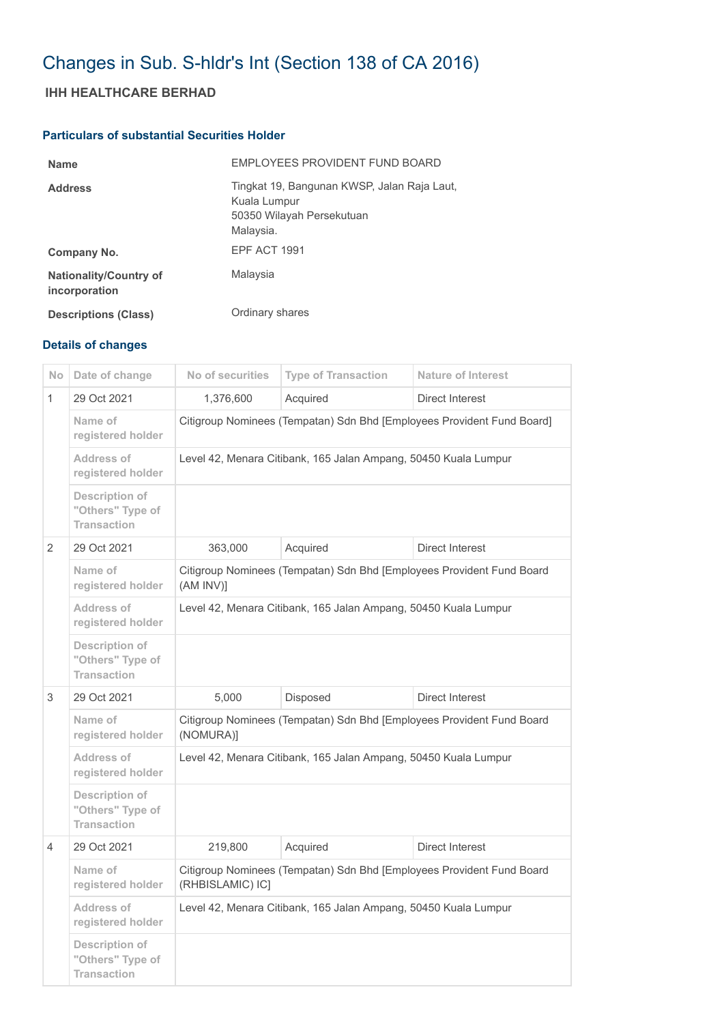## Changes in Sub. S-hldr's Int (Section 138 of CA 2016)

## **IHH HEALTHCARE BERHAD**

## **Particulars of substantial Securities Holder**

| <b>Name</b>                                    | EMPLOYEES PROVIDENT FUND BOARD                                                                        |
|------------------------------------------------|-------------------------------------------------------------------------------------------------------|
| <b>Address</b>                                 | Tingkat 19, Bangunan KWSP, Jalan Raja Laut,<br>Kuala Lumpur<br>50350 Wilayah Persekutuan<br>Malaysia. |
| Company No.                                    | EPF ACT 1991                                                                                          |
| <b>Nationality/Country of</b><br>incorporation | Malaysia                                                                                              |
| <b>Descriptions (Class)</b>                    | Ordinary shares                                                                                       |

## **Details of changes**

| No.           | Date of change                                           | No of securities                                                                          | <b>Type of Transaction</b> | <b>Nature of Interest</b> |  |
|---------------|----------------------------------------------------------|-------------------------------------------------------------------------------------------|----------------------------|---------------------------|--|
| 1             | 29 Oct 2021                                              | 1,376,600                                                                                 | Acquired                   | Direct Interest           |  |
|               | Name of<br>registered holder                             | Citigroup Nominees (Tempatan) Sdn Bhd [Employees Provident Fund Board]                    |                            |                           |  |
|               | Address of<br>registered holder                          | Level 42, Menara Citibank, 165 Jalan Ampang, 50450 Kuala Lumpur                           |                            |                           |  |
|               | Description of<br>"Others" Type of<br><b>Transaction</b> |                                                                                           |                            |                           |  |
| $\mathcal{P}$ | 29 Oct 2021                                              | 363,000                                                                                   | Acquired                   | <b>Direct Interest</b>    |  |
|               | Name of<br>registered holder                             | Citigroup Nominees (Tempatan) Sdn Bhd [Employees Provident Fund Board<br>$(AM INV)$ ]     |                            |                           |  |
|               | Address of<br>registered holder                          | Level 42, Menara Citibank, 165 Jalan Ampang, 50450 Kuala Lumpur                           |                            |                           |  |
|               | Description of<br>"Others" Type of<br><b>Transaction</b> |                                                                                           |                            |                           |  |
| 3             | 29 Oct 2021                                              | 5,000                                                                                     | Disposed                   | Direct Interest           |  |
|               | Name of<br>registered holder                             | Citigroup Nominees (Tempatan) Sdn Bhd [Employees Provident Fund Board<br>(NOMURA)]        |                            |                           |  |
|               | <b>Address of</b><br>registered holder                   | Level 42, Menara Citibank, 165 Jalan Ampang, 50450 Kuala Lumpur                           |                            |                           |  |
|               | Description of<br>"Others" Type of<br><b>Transaction</b> |                                                                                           |                            |                           |  |
| 4             | 29 Oct 2021                                              | 219,800                                                                                   | Acquired                   | <b>Direct Interest</b>    |  |
|               | Name of<br>registered holder                             | Citigroup Nominees (Tempatan) Sdn Bhd [Employees Provident Fund Board<br>(RHBISLAMIC) IC] |                            |                           |  |
|               | Address of<br>registered holder                          | Level 42, Menara Citibank, 165 Jalan Ampang, 50450 Kuala Lumpur                           |                            |                           |  |
|               | Description of<br>"Others" Type of<br><b>Transaction</b> |                                                                                           |                            |                           |  |